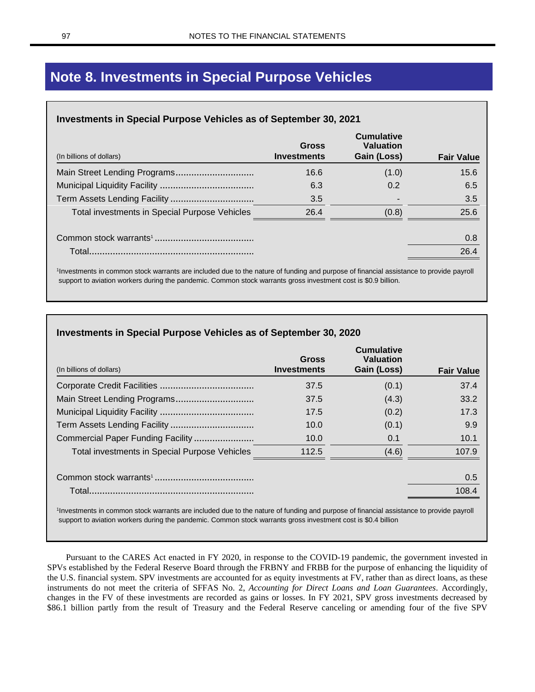# **Note 8. Investments in Special Purpose Vehicles**

## **Investments in Special Purpose Vehicles as of September 30, 2021**

| (In billions of dollars)                      | <b>Gross</b><br><b>Investments</b> | <b>Cumulative</b><br><b>Valuation</b><br>Gain (Loss) | <b>Fair Value</b> |
|-----------------------------------------------|------------------------------------|------------------------------------------------------|-------------------|
| Main Street Lending Programs                  | 16.6                               | (1.0)                                                | 15.6              |
|                                               | 6.3                                | 0.2                                                  | 6.5               |
|                                               | 3.5                                |                                                      | 3.5               |
| Total investments in Special Purpose Vehicles | 26.4                               | (0.8)                                                | 25.6              |
|                                               |                                    |                                                      | 0.8               |
| Total.                                        |                                    |                                                      | 26.4              |

1 Investments in common stock warrants are included due to the nature of funding and purpose of financial assistance to provide payroll support to aviation workers during the pandemic. Common stock warrants gross investment cost is \$0.9 billion.

| (In billions of dollars)                      | Gross<br>Investments | <b>Cumulative</b><br><b>Valuation</b><br>Gain (Loss) | <b>Fair Value</b> |
|-----------------------------------------------|----------------------|------------------------------------------------------|-------------------|
|                                               | 37.5                 | (0.1)                                                | 37.4              |
|                                               | 37.5                 | (4.3)                                                | 33.2              |
|                                               | 17.5                 | (0.2)                                                | 17.3              |
|                                               | 10.0                 | (0.1)                                                | 9.9               |
| Commercial Paper Funding Facility             | 10.0                 | 0.1                                                  | 10.1              |
| Total investments in Special Purpose Vehicles | 112.5                | (4.6)                                                | 107.9             |
|                                               |                      |                                                      | 0.5               |
|                                               |                      |                                                      | 108.4             |

1 Investments in common stock warrants are included due to the nature of funding and purpose of financial assistance to provide payroll support to aviation workers during the pandemic. Common stock warrants gross investment cost is \$0.4 billion

Pursuant to the CARES Act enacted in FY 2020, in response to the COVID-19 pandemic, the government invested in SPVs established by the Federal Reserve Board through the FRBNY and FRBB for the purpose of enhancing the liquidity of the U.S. financial system. SPV investments are accounted for as equity investments at FV, rather than as direct loans, as these instruments do not meet the criteria of SFFAS No. 2, *Accounting for Direct Loans and Loan Guarantees*. Accordingly, changes in the FV of these investments are recorded as gains or losses. In FY 2021, SPV gross investments decreased by \$86.1 billion partly from the result of Treasury and the Federal Reserve canceling or amending four of the five SPV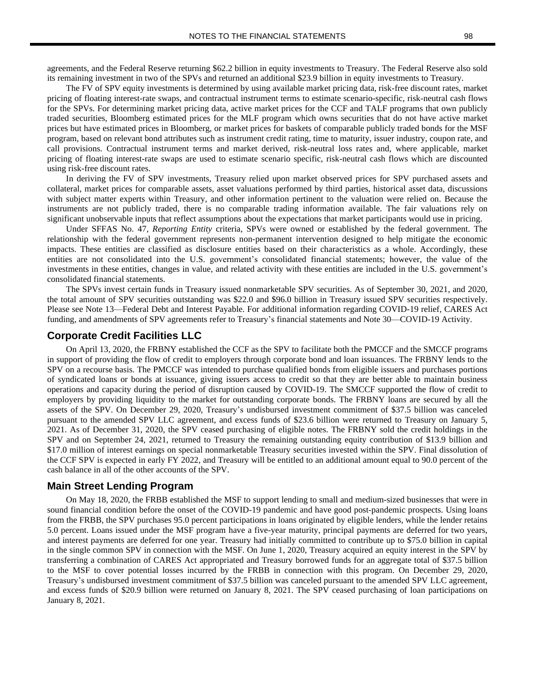agreements, and the Federal Reserve returning \$62.2 billion in equity investments to Treasury. The Federal Reserve also sold its remaining investment in two of the SPVs and returned an additional \$23.9 billion in equity investments to Treasury.

The FV of SPV equity investments is determined by using available market pricing data, risk-free discount rates, market pricing of floating interest-rate swaps, and contractual instrument terms to estimate scenario-specific, risk-neutral cash flows for the SPVs. For determining market pricing data, active market prices for the CCF and TALF programs that own publicly traded securities, Bloomberg estimated prices for the MLF program which owns securities that do not have active market prices but have estimated prices in Bloomberg, or market prices for baskets of comparable publicly traded bonds for the MSF program, based on relevant bond attributes such as instrument credit rating, time to maturity, issuer industry, coupon rate, and call provisions. Contractual instrument terms and market derived, risk-neutral loss rates and, where applicable, market pricing of floating interest-rate swaps are used to estimate scenario specific, risk-neutral cash flows which are discounted using risk-free discount rates.

In deriving the FV of SPV investments, Treasury relied upon market observed prices for SPV purchased assets and collateral, market prices for comparable assets, asset valuations performed by third parties, historical asset data, discussions with subject matter experts within Treasury, and other information pertinent to the valuation were relied on. Because the instruments are not publicly traded, there is no comparable trading information available. The fair valuations rely on significant unobservable inputs that reflect assumptions about the expectations that market participants would use in pricing.

Under SFFAS No. 47, *Reporting Entity* criteria, SPVs were owned or established by the federal government. The relationship with the federal government represents non-permanent intervention designed to help mitigate the economic impacts. These entities are classified as disclosure entities based on their characteristics as a whole. Accordingly, these entities are not consolidated into the U.S. government's consolidated financial statements; however, the value of the investments in these entities, changes in value, and related activity with these entities are included in the U.S. government's consolidated financial statements.

The SPVs invest certain funds in Treasury issued nonmarketable SPV securities. As of September 30, 2021, and 2020, the total amount of SPV securities outstanding was \$22.0 and \$96.0 billion in Treasury issued SPV securities respectively. Please see Note 13—Federal Debt and Interest Payable. For additional information regarding COVID-19 relief, CARES Act funding, and amendments of SPV agreements refer to Treasury's financial statements and Note 30—COVID-19 Activity.

## **Corporate Credit Facilities LLC**

On April 13, 2020, the FRBNY established the CCF as the SPV to facilitate both the PMCCF and the SMCCF programs in support of providing the flow of credit to employers through corporate bond and loan issuances. The FRBNY lends to the SPV on a recourse basis. The PMCCF was intended to purchase qualified bonds from eligible issuers and purchases portions of syndicated loans or bonds at issuance, giving issuers access to credit so that they are better able to maintain business operations and capacity during the period of disruption caused by COVID-19. The SMCCF supported the flow of credit to employers by providing liquidity to the market for outstanding corporate bonds. The FRBNY loans are secured by all the assets of the SPV. On December 29, 2020, Treasury's undisbursed investment commitment of \$37.5 billion was canceled pursuant to the amended SPV LLC agreement, and excess funds of \$23.6 billion were returned to Treasury on January 5, 2021. As of December 31, 2020, the SPV ceased purchasing of eligible notes. The FRBNY sold the credit holdings in the SPV and on September 24, 2021, returned to Treasury the remaining outstanding equity contribution of \$13.9 billion and \$17.0 million of interest earnings on special nonmarketable Treasury securities invested within the SPV. Final dissolution of the CCF SPV is expected in early FY 2022, and Treasury will be entitled to an additional amount equal to 90.0 percent of the cash balance in all of the other accounts of the SPV.

## **Main Street Lending Program**

On May 18, 2020, the FRBB established the MSF to support lending to small and medium-sized businesses that were in sound financial condition before the onset of the COVID-19 pandemic and have good post-pandemic prospects. Using loans from the FRBB, the SPV purchases 95.0 percent participations in loans originated by eligible lenders, while the lender retains 5.0 percent. Loans issued under the MSF program have a five-year maturity, principal payments are deferred for two years, and interest payments are deferred for one year. Treasury had initially committed to contribute up to \$75.0 billion in capital in the single common SPV in connection with the MSF. On June 1, 2020, Treasury acquired an equity interest in the SPV by transferring a combination of CARES Act appropriated and Treasury borrowed funds for an aggregate total of \$37.5 billion to the MSF to cover potential losses incurred by the FRBB in connection with this program. On December 29, 2020, Treasury's undisbursed investment commitment of \$37.5 billion was canceled pursuant to the amended SPV LLC agreement, and excess funds of \$20.9 billion were returned on January 8, 2021. The SPV ceased purchasing of loan participations on January 8, 2021.